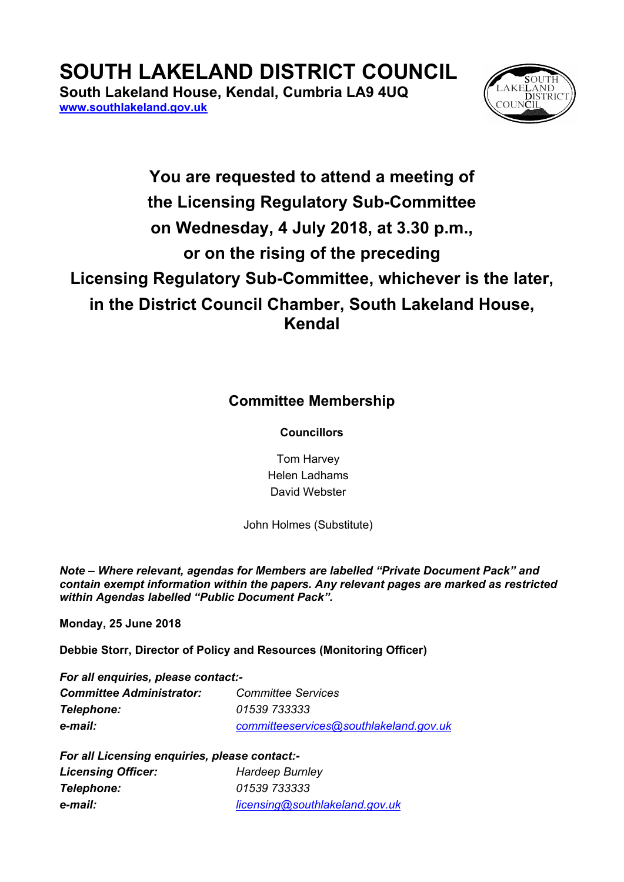## **SOUTH LAKELAND DISTRICT COUNCIL**

**South Lakeland House, Kendal, Cumbria LA9 4UQ [www.southlakeland.gov.uk](http://www.southlakeland.gov.uk/)**



## **You are requested to attend a meeting of the Licensing Regulatory Sub-Committee on Wednesday, 4 July 2018, at 3.30 p.m., or on the rising of the preceding Licensing Regulatory Sub-Committee, whichever is the later, in the District Council Chamber, South Lakeland House, Kendal**

## **Committee Membership**

**Councillors**

Tom Harvey Helen Ladhams David Webster

John Holmes (Substitute)

*Note – Where relevant, agendas for Members are labelled "Private Document Pack" and contain exempt information within the papers. Any relevant pages are marked as restricted within Agendas labelled "Public Document Pack".*

**Monday, 25 June 2018**

**Debbie Storr, Director of Policy and Resources (Monitoring Officer)**

| For all enquiries, please contact:- |                                        |  |
|-------------------------------------|----------------------------------------|--|
| <b>Committee Administrator:</b>     | <b>Committee Services</b>              |  |
| Telephone:                          | 01539 733333                           |  |
| e-mail:                             | committeeservices@southlakeland.gov.uk |  |

| For all Licensing enquiries, please contact:- |                                |  |
|-----------------------------------------------|--------------------------------|--|
| <b>Licensing Officer:</b>                     | <b>Hardeep Burnley</b>         |  |
| Telephone:                                    | 01539 733333                   |  |
| e-mail:                                       | licensing@southlakeland.gov.uk |  |